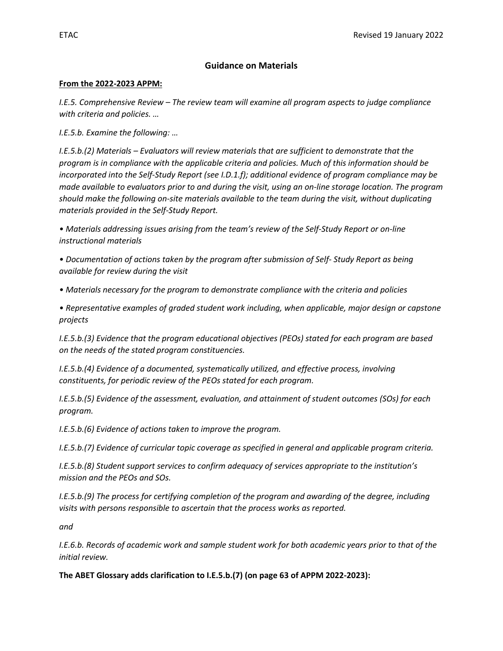# **Guidance on Materials**

#### **From the 2022-2023 APPM:**

*I.E.5. Comprehensive Review – The review team will examine all program aspects to judge compliance with criteria and policies. …*

*I.E.5.b. Examine the following: …*

*I.E.5.b.(2) Materials – Evaluators will review materials that are sufficient to demonstrate that the program is in compliance with the applicable criteria and policies. Much of this information should be incorporated into the Self-Study Report (see I.D.1.f); additional evidence of program compliance may be made available to evaluators prior to and during the visit, using an on-line storage location. The program should make the following on-site materials available to the team during the visit, without duplicating materials provided in the Self-Study Report.*

*• Materials addressing issues arising from the team's review of the Self-Study Report or on-line instructional materials*

*• Documentation of actions taken by the program after submission of Self- Study Report as being available for review during the visit*

*• Materials necessary for the program to demonstrate compliance with the criteria and policies*

*• Representative examples of graded student work including, when applicable, major design or capstone projects*

*I.E.5.b.(3) Evidence that the program educational objectives (PEOs) stated for each program are based on the needs of the stated program constituencies.*

*I.E.5.b.(4) Evidence of a documented, systematically utilized, and effective process, involving constituents, for periodic review of the PEOs stated for each program.*

*I.E.5.b.(5) Evidence of the assessment, evaluation, and attainment of student outcomes (SOs) for each program.*

*I.E.5.b.(6) Evidence of actions taken to improve the program.*

*I.E.5.b.(7) Evidence of curricular topic coverage as specified in general and applicable program criteria.*

*I.E.5.b.(8) Student support services to confirm adequacy of services appropriate to the institution's mission and the PEOs and SOs.*

*I.E.5.b.(9) The process for certifying completion of the program and awarding of the degree, including visits with persons responsible to ascertain that the process works as reported.*

*and*

*I.E.6.b. Records of academic work and sample student work for both academic years prior to that of the initial review.*

**The ABET Glossary adds clarification to I.E.5.b.(7) (on page 63 of APPM 2022-2023):**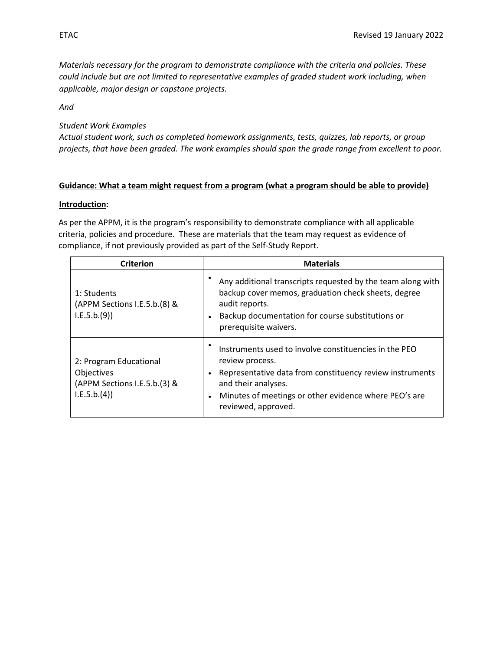*Materials necessary for the program to demonstrate compliance with the criteria and policies. These could include but are not limited to representative examples of graded student work including, when applicable, major design or capstone projects.* 

*And*

## *Student Work Examples*

*Actual student work, such as completed homework assignments, tests, quizzes, lab reports, or group projects, that have been graded. The work examples should span the grade range from excellent to poor.*

## **Guidance: What a team might request from a program (what a program should be able to provide)**

## **Introduction:**

As per the APPM, it is the program's responsibility to demonstrate compliance with all applicable criteria, policies and procedure. These are materials that the team may request as evidence of compliance, if not previously provided as part of the Self-Study Report.

| <b>Criterion</b>                                                                     | <b>Materials</b>                                                                                                                                                                                                                            |
|--------------------------------------------------------------------------------------|---------------------------------------------------------------------------------------------------------------------------------------------------------------------------------------------------------------------------------------------|
| 1: Students<br>(APPM Sections I.E.5.b.(8) &<br>I.E.5.b.(9)                           | Any additional transcripts requested by the team along with<br>backup cover memos, graduation check sheets, degree<br>audit reports.<br>Backup documentation for course substitutions or<br>prerequisite waivers.                           |
| 2: Program Educational<br>Objectives<br>(APPM Sections I.E.5.b.(3) &<br>I.E.5.b.(4)) | Instruments used to involve constituencies in the PEO<br>review process.<br>Representative data from constituency review instruments<br>and their analyses.<br>Minutes of meetings or other evidence where PEO's are<br>reviewed, approved. |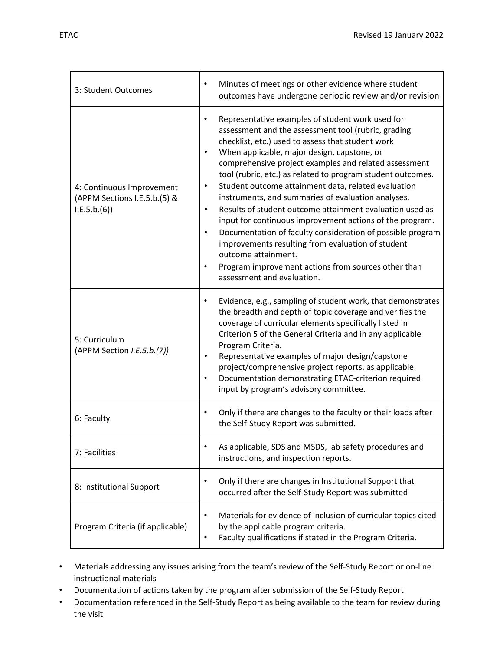| 3: Student Outcomes                                                      | Minutes of meetings or other evidence where student<br>outcomes have undergone periodic review and/or revision                                                                                                                                                                                                                                                                                                                                                                                                                                                                                                                                                                                                                                                                                                                                              |
|--------------------------------------------------------------------------|-------------------------------------------------------------------------------------------------------------------------------------------------------------------------------------------------------------------------------------------------------------------------------------------------------------------------------------------------------------------------------------------------------------------------------------------------------------------------------------------------------------------------------------------------------------------------------------------------------------------------------------------------------------------------------------------------------------------------------------------------------------------------------------------------------------------------------------------------------------|
| 4: Continuous Improvement<br>(APPM Sections I.E.5.b.(5) &<br>I.E.5.b.(6) | Representative examples of student work used for<br>$\bullet$<br>assessment and the assessment tool (rubric, grading<br>checklist, etc.) used to assess that student work<br>When applicable, major design, capstone, or<br>comprehensive project examples and related assessment<br>tool (rubric, etc.) as related to program student outcomes.<br>Student outcome attainment data, related evaluation<br>$\bullet$<br>instruments, and summaries of evaluation analyses.<br>Results of student outcome attainment evaluation used as<br>$\bullet$<br>input for continuous improvement actions of the program.<br>Documentation of faculty consideration of possible program<br>$\bullet$<br>improvements resulting from evaluation of student<br>outcome attainment.<br>Program improvement actions from sources other than<br>assessment and evaluation. |
| 5: Curriculum<br>(APPM Section I.E.5.b.(7))                              | Evidence, e.g., sampling of student work, that demonstrates<br>the breadth and depth of topic coverage and verifies the<br>coverage of curricular elements specifically listed in<br>Criterion 5 of the General Criteria and in any applicable<br>Program Criteria.<br>Representative examples of major design/capstone<br>$\bullet$<br>project/comprehensive project reports, as applicable.<br>Documentation demonstrating ETAC-criterion required<br>$\bullet$<br>input by program's advisory committee.                                                                                                                                                                                                                                                                                                                                                 |
| 6: Faculty                                                               | Only if there are changes to the faculty or their loads after<br>$\bullet$<br>the Self-Study Report was submitted.                                                                                                                                                                                                                                                                                                                                                                                                                                                                                                                                                                                                                                                                                                                                          |
| 7: Facilities                                                            | As applicable, SDS and MSDS, lab safety procedures and<br>instructions, and inspection reports.                                                                                                                                                                                                                                                                                                                                                                                                                                                                                                                                                                                                                                                                                                                                                             |
| 8: Institutional Support                                                 | Only if there are changes in Institutional Support that<br>٠<br>occurred after the Self-Study Report was submitted                                                                                                                                                                                                                                                                                                                                                                                                                                                                                                                                                                                                                                                                                                                                          |
| Program Criteria (if applicable)                                         | Materials for evidence of inclusion of curricular topics cited<br>$\bullet$<br>by the applicable program criteria.<br>Faculty qualifications if stated in the Program Criteria.<br>٠                                                                                                                                                                                                                                                                                                                                                                                                                                                                                                                                                                                                                                                                        |

- Materials addressing any issues arising from the team's review of the Self-Study Report or on-line instructional materials
- Documentation of actions taken by the program after submission of the Self-Study Report
- Documentation referenced in the Self-Study Report as being available to the team for review during the visit